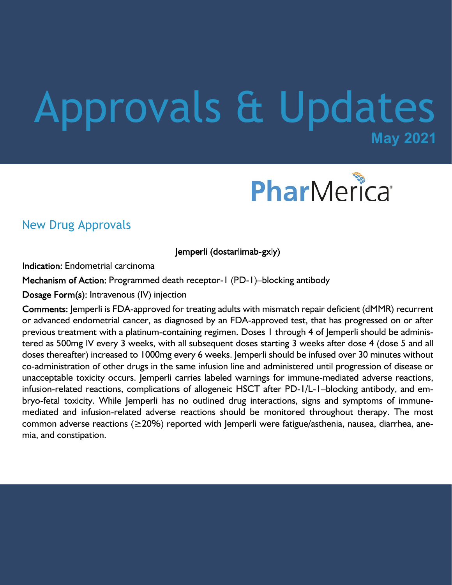# **May 2021** Approvals & Updates



### New Drug Approvals

Jemperli (dostarlimab-gxly)

**Indication: Endometrial carcinoma** 

Mechanism of Action: Programmed death receptor-1 (PD-1)–blocking antibody

 $Dosage Form(s)$ : Intravenous (IV) injection

Comments: Jemperli is FDA-approved for treating adults with mismatch repair deficient (dMMR) recurrent or advanced endometrial cancer, as diagnosed by an FDA-approved test, that has progressed on or after previous treatment with a platinum-containing regimen. Doses 1 through 4 of Jemperli should be administered as 500mg IV every 3 weeks, with all subsequent doses starting 3 weeks after dose 4 (dose 5 and all doses thereafter) increased to 1000mg every 6 weeks. Jemperli should be infused over 30 minutes without co-administration of other drugs in the same infusion line and administered until progression of disease or unacceptable toxicity occurs. Jemperli carries labeled warnings for immune-mediated adverse reactions, infusion-related reactions, complications of allogeneic HSCT after PD-1/L-1–blocking antibody, and embryo-fetal toxicity. While Jemperli has no outlined drug interactions, signs and symptoms of immunemediated and infusion-related adverse reactions should be monitored throughout therapy. The most common adverse reactions (≥20%) reported with Jemperli were fatigue/asthenia, nausea, diarrhea, anemia, and constipation.